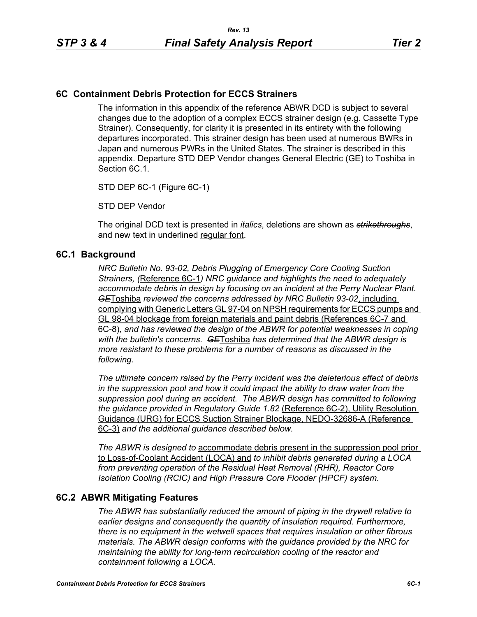## **6C Containment Debris Protection for ECCS Strainers**

The information in this appendix of the reference ABWR DCD is subject to several changes due to the adoption of a complex ECCS strainer design (e.g. Cassette Type Strainer). Consequently, for clarity it is presented in its entirety with the following departures incorporated. This strainer design has been used at numerous BWRs in Japan and numerous PWRs in the United States. The strainer is described in this appendix. Departure STD DEP Vendor changes General Electric (GE) to Toshiba in Section 6C.1.

STD DEP 6C-1 (Figure 6C-1)

STD DEP Vendor

The original DCD text is presented in *italics*, deletions are shown as *strikethroughs*, and new text in underlined regular font.

#### **6C.1 Background**

*NRC Bulletin No. 93-02, Debris Plugging of Emergency Core Cooling Suction Strainers, (*Reference 6C-1*) NRC guidance and highlights the need to adequately accommodate debris in design by focusing on an incident at the Perry Nuclear Plant. GE*Toshiba *reviewed the concerns addressed by NRC Bulletin 93-02*, including complying with Generic Letters GL 97-04 on NPSH requirements for ECCS pumps and GL 98-04 blockage from foreign materials and paint debris (References 6C-7 and 6C-8)*, and has reviewed the design of the ABWR for potential weaknesses in coping with the bulletin's concerns. GE*Toshiba *has determined that the ABWR design is more resistant to these problems for a number of reasons as discussed in the following.* 

*The ultimate concern raised by the Perry incident was the deleterious effect of debris in the suppression pool and how it could impact the ability to draw water from the suppression pool during an accident. The ABWR design has committed to following the guidance provided in Regulatory Guide 1.82* (Reference 6C-2), Utility Resolution Guidance (URG) for ECCS Suction Strainer Blockage, NEDO-32686-A (Reference 6C-3) *and the additional guidance described below.* 

*The ABWR is designed to* accommodate debris present in the suppression pool prior to Loss-of-Coolant Accident (LOCA) and *to inhibit debris generated during a LOCA from preventing operation of the Residual Heat Removal (RHR), Reactor Core Isolation Cooling (RCIC) and High Pressure Core Flooder (HPCF) system.* 

## **6C.2 ABWR Mitigating Features**

*The ABWR has substantially reduced the amount of piping in the drywell relative to earlier designs and consequently the quantity of insulation required. Furthermore, there is no equipment in the wetwell spaces that requires insulation or other fibrous materials. The ABWR design conforms with the guidance provided by the NRC for maintaining the ability for long-term recirculation cooling of the reactor and containment following a LOCA.*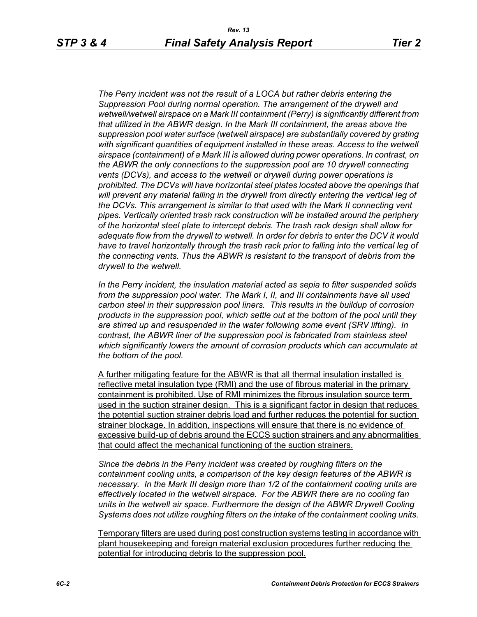*The Perry incident was not the result of a LOCA but rather debris entering the Suppression Pool during normal operation. The arrangement of the drywell and wetwell/wetwell airspace on a Mark III containment (Perry) is significantly different from that utilized in the ABWR design. In the Mark III containment, the areas above the suppression pool water surface (wetwell airspace) are substantially covered by grating with significant quantities of equipment installed in these areas. Access to the wetwell airspace (containment) of a Mark III is allowed during power operations. In contrast, on the ABWR the only connections to the suppression pool are 10 drywell connecting vents (DCVs), and access to the wetwell or drywell during power operations is prohibited. The DCVs will have horizontal steel plates located above the openings that will prevent any material falling in the drywell from directly entering the vertical leg of the DCVs. This arrangement is similar to that used with the Mark II connecting vent pipes. Vertically oriented trash rack construction will be installed around the periphery of the horizontal steel plate to intercept debris. The trash rack design shall allow for adequate flow from the drywell to wetwell. In order for debris to enter the DCV it would*  have to travel horizontally through the trash rack prior to falling into the vertical leg of *the connecting vents. Thus the ABWR is resistant to the transport of debris from the drywell to the wetwell.*

*In the Perry incident, the insulation material acted as sepia to filter suspended solids from the suppression pool water. The Mark I, II, and III containments have all used carbon steel in their suppression pool liners. This results in the buildup of corrosion products in the suppression pool, which settle out at the bottom of the pool until they are stirred up and resuspended in the water following some event (SRV lifting). In contrast, the ABWR liner of the suppression pool is fabricated from stainless steel which significantly lowers the amount of corrosion products which can accumulate at the bottom of the pool.* 

A further mitigating feature for the ABWR is that all thermal insulation installed is reflective metal insulation type (RMI) and the use of fibrous material in the primary containment is prohibited. Use of RMI minimizes the fibrous insulation source term used in the suction strainer design. This is a significant factor in design that reduces the potential suction strainer debris load and further reduces the potential for suction strainer blockage. In addition, inspections will ensure that there is no evidence of excessive build-up of debris around the ECCS suction strainers and any abnormalities that could affect the mechanical functioning of the suction strainers.

*Since the debris in the Perry incident was created by roughing filters on the containment cooling units, a comparison of the key design features of the ABWR is necessary. In the Mark III design more than 1/2 of the containment cooling units are effectively located in the wetwell airspace. For the ABWR there are no cooling fan units in the wetwell air space. Furthermore the design of the ABWR Drywell Cooling Systems does not utilize roughing filters on the intake of the containment cooling units.* 

Temporary filters are used during post construction systems testing in accordance with plant housekeeping and foreign material exclusion procedures further reducing the potential for introducing debris to the suppression pool.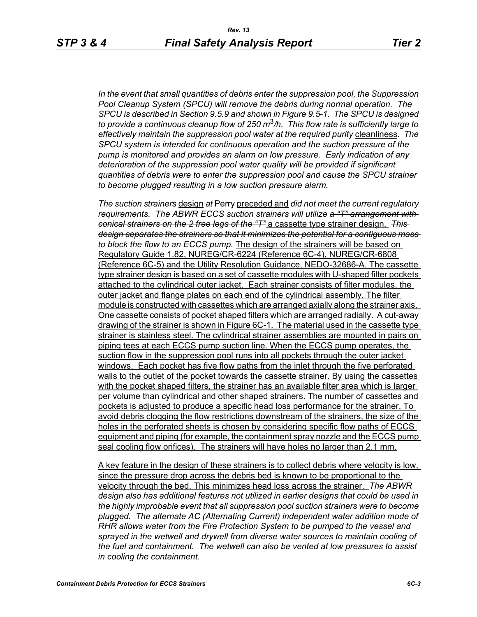*In the event that small quantities of debris enter the suppression pool, the Suppression Pool Cleanup System (SPCU) will remove the debris during normal operation. The SPCU is described in Section 9.5.9 and shown in Figure 9.5-1. The SPCU is designed to provide a continuous cleanup flow of 250 m*3*/h. This flow rate is sufficiently large to effectively maintain the suppression pool water at the required purity* cleanliness*. The SPCU system is intended for continuous operation and the suction pressure of the pump is monitored and provides an alarm on low pressure. Early indication of any deterioration of the suppression pool water quality will be provided if significant quantities of debris were to enter the suppression pool and cause the SPCU strainer to become plugged resulting in a low suction pressure alarm.* 

*The suction strainers* design *at* Perry preceded and *did not meet the current regulatory requirements. The ABWR ECCS suction strainers will utilize a "T" arrangement with conical strainers on the 2 free legs of the "T"* a cassette type strainer design. *This design separates the strainers so that it minimizes the potential for a contiguous mass to block the flow to an ECCS pump.* The design of the strainers will be based on Regulatory Guide 1.82, NUREG/CR-6224 (Reference 6C-4), NUREG/CR-6808 (Reference 6C-5) and the Utility Resolution Guidance, NEDO-32686-A. The cassette type strainer design is based on a set of cassette modules with U-shaped filter pockets attached to the cylindrical outer jacket. Each strainer consists of filter modules, the outer jacket and flange plates on each end of the cylindrical assembly. The filter module is constructed with cassettes which are arranged axially along the strainer axis. One cassette consists of pocket shaped filters which are arranged radially. A cut-away drawing of the strainer is shown in Figure 6C-1. The material used in the cassette type strainer is stainless steel. The cylindrical strainer assemblies are mounted in pairs on piping tees at each ECCS pump suction line. When the ECCS pump operates, the suction flow in the suppression pool runs into all pockets through the outer jacket windows. Each pocket has five flow paths from the inlet through the five perforated walls to the outlet of the pocket towards the cassette strainer. By using the cassettes with the pocket shaped filters, the strainer has an available filter area which is larger per volume than cylindrical and other shaped strainers. The number of cassettes and pockets is adjusted to produce a specific head loss performance for the strainer. To avoid debris clogging the flow restrictions downstream of the strainers, the size of the holes in the perforated sheets is chosen by considering specific flow paths of ECCS equipment and piping (for example, the containment spray nozzle and the ECCS pump seal cooling flow orifices). The strainers will have holes no larger than 2.1 mm.

A key feature in the design of these strainers is to collect debris where velocity is low, since the pressure drop across the debris bed is known to be proportional to the velocity through the bed. This minimizes head loss across the strainer. *The ABWR design also has additional features not utilized in earlier designs that could be used in the highly improbable event that all suppression pool suction strainers were to become plugged. The alternate AC (Alternating Current) independent water addition mode of RHR allows water from the Fire Protection System to be pumped to the vessel and*  sprayed in the wetwell and drywell from diverse water sources to maintain cooling of *the fuel and containment. The wetwell can also be vented at low pressures to assist in cooling the containment.*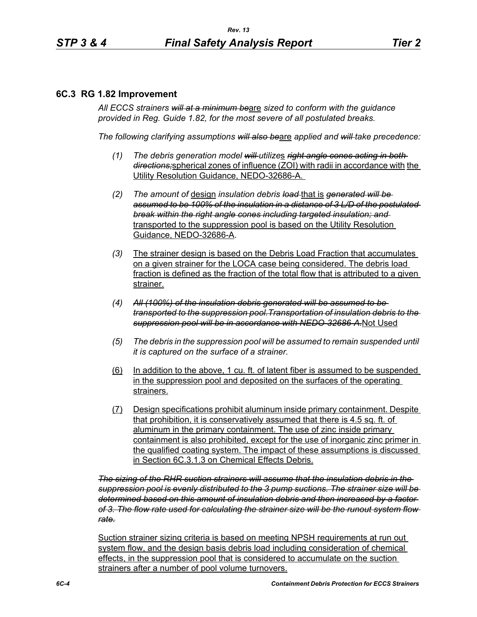#### **6C.3 RG 1.82 Improvement**

*All ECCS strainers will at a minimum be*are *sized to conform with the guidance provided in Reg. Guide 1.82, for the most severe of all postulated breaks.*

*The following clarifying assumptions will also be*are *applied and will take precedence:*

- *(1) The debris generation model will utilize*s *right angle cones acting in both directions;*spherical zones of influence (ZOI) with radii in accordance with the Utility Resolution Guidance, NEDO-32686-A.
- *(2) The amount of* design *insulation debris load* that is *generated will be assumed to be 100% of the insulation in a distance of 3 L/D of the postulated break within the right angle cones including targeted insulation; and* transported to the suppression pool is based on the Utility Resolution Guidance, NEDO-32686-A.
- *(3)* The strainer design is based on the Debris Load Fraction that accumulates on a given strainer for the LOCA case being considered. The debris load fraction is defined as the fraction of the total flow that is attributed to a given strainer.
- *(4) All (100%) of the insulation debris generated will be assumed to be transported to the suppression pool.Transportation of insulation debris to the suppression pool will be in accordance with NEDO-32686-A.*Not Used
- *(5) The debris in the suppression pool will be assumed to remain suspended until it is captured on the surface of a strainer.*
- (6) In addition to the above, 1 cu. ft. of latent fiber is assumed to be suspended in the suppression pool and deposited on the surfaces of the operating strainers.
- (7) Design specifications prohibit aluminum inside primary containment. Despite that prohibition, it is conservatively assumed that there is 4.5 sq. ft. of aluminum in the primary containment. The use of zinc inside primary containment is also prohibited, except for the use of inorganic zinc primer in the qualified coating system. The impact of these assumptions is discussed in Section 6C.3.1.3 on Chemical Effects Debris.

*The sizing of the RHR suction strainers will assume that the insulation debris in the suppression pool is evenly distributed to the 3 pump suctions. The strainer size will be determined based on this amount of insulation debris and then increased by a factor of 3. The flow rate used for calculating the strainer size will be the runout system flow rate.*

Suction strainer sizing criteria is based on meeting NPSH requirements at run out system flow, and the design basis debris load including consideration of chemical effects, in the suppression pool that is considered to accumulate on the suction strainers after a number of pool volume turnovers.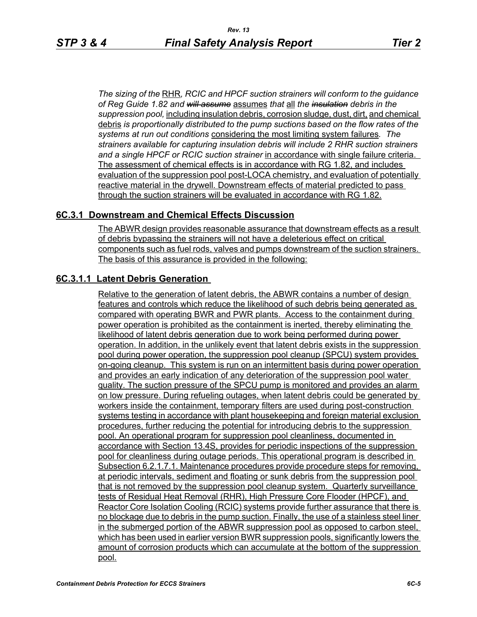*The sizing of the* RHR*, RCIC and HPCF suction strainers will conform to the guidance of Reg Guide 1.82 and will assume* assumes *that* all *the insulation debris in the suppression pool,* including insulation debris, corrosion sludge, dust, dirt, and chemical debris *is proportionally distributed to the pump suctions based on the flow rates of the systems at run out conditions* considering the most limiting system failures*. The strainers available for capturing insulation debris will include 2 RHR suction strainers and a single HPCF or RCIC suction strainer* in accordance with single failure criteria. The assessment of chemical effects is in accordance with RG 1.82, and includes evaluation of the suppression pool post-LOCA chemistry, and evaluation of potentially reactive material in the drywell. Downstream effects of material predicted to pass through the suction strainers will be evaluated in accordance with RG 1.82.

## **6C.3.1 Downstream and Chemical Effects Discussion**

The ABWR design provides reasonable assurance that downstream effects as a result of debris bypassing the strainers will not have a deleterious effect on critical components such as fuel rods, valves and pumps downstream of the suction strainers. The basis of this assurance is provided in the following:

#### **6C.3.1.1 Latent Debris Generation**

Relative to the generation of latent debris, the ABWR contains a number of design features and controls which reduce the likelihood of such debris being generated as compared with operating BWR and PWR plants. Access to the containment during power operation is prohibited as the containment is inerted, thereby eliminating the likelihood of latent debris generation due to work being performed during power operation. In addition, in the unlikely event that latent debris exists in the suppression pool during power operation, the suppression pool cleanup (SPCU) system provides on-going cleanup. This system is run on an intermittent basis during power operation and provides an early indication of any deterioration of the suppression pool water quality. The suction pressure of the SPCU pump is monitored and provides an alarm on low pressure. During refueling outages, when latent debris could be generated by workers inside the containment, temporary filters are used during post-construction systems testing in accordance with plant housekeeping and foreign material exclusion procedures, further reducing the potential for introducing debris to the suppression pool. An operational program for suppression pool cleanliness, documented in accordance with Section 13.4S, provides for periodic inspections of the suppression pool for cleanliness during outage periods. This operational program is described in Subsection 6.2.1.7.1. Maintenance procedures provide procedure steps for removing, at periodic intervals, sediment and floating or sunk debris from the suppression pool that is not removed by the suppression pool cleanup system. Quarterly surveillance tests of Residual Heat Removal (RHR), High Pressure Core Flooder (HPCF), and Reactor Core Isolation Cooling (RCIC) systems provide further assurance that there is no blockage due to debris in the pump suction. Finally, the use of a stainless steel liner in the submerged portion of the ABWR suppression pool as opposed to carbon steel, which has been used in earlier version BWR suppression pools, significantly lowers the amount of corrosion products which can accumulate at the bottom of the suppression pool.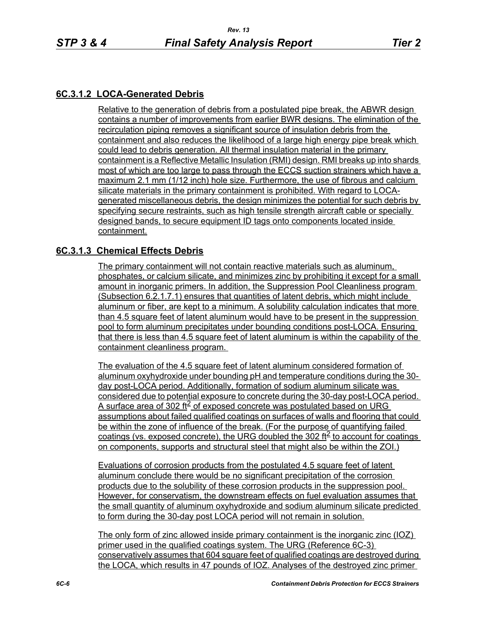# **6C.3.1.2 LOCA-Generated Debris**

Relative to the generation of debris from a postulated pipe break, the ABWR design contains a number of improvements from earlier BWR designs. The elimination of the recirculation piping removes a significant source of insulation debris from the containment and also reduces the likelihood of a large high energy pipe break which could lead to debris generation. All thermal insulation material in the primary containment is a Reflective Metallic Insulation (RMI) design. RMI breaks up into shards most of which are too large to pass through the ECCS suction strainers which have a maximum 2.1 mm (1/12 inch) hole size. Furthermore, the use of fibrous and calcium silicate materials in the primary containment is prohibited. With regard to LOCAgenerated miscellaneous debris, the design minimizes the potential for such debris by specifying secure restraints, such as high tensile strength aircraft cable or specially designed bands, to secure equipment ID tags onto components located inside containment.

## **6C.3.1.3 Chemical Effects Debris**

The primary containment will not contain reactive materials such as aluminum, phosphates, or calcium silicate, and minimizes zinc by prohibiting it except for a small amount in inorganic primers. In addition, the Suppression Pool Cleanliness program (Subsection 6.2.1.7.1) ensures that quantities of latent debris, which might include aluminum or fiber, are kept to a minimum. A solubility calculation indicates that more than 4.5 square feet of latent aluminum would have to be present in the suppression pool to form aluminum precipitates under bounding conditions post-LOCA. Ensuring that there is less than 4.5 square feet of latent aluminum is within the capability of the containment cleanliness program.

The evaluation of the 4.5 square feet of latent aluminum considered formation of aluminum oxyhydroxide under bounding pH and temperature conditions during the 30 day post-LOCA period. Additionally, formation of sodium aluminum silicate was considered due to potential exposure to concrete during the 30-day post-LOCA period. A surface area of 302 ft $\frac{2}{5}$  of exposed concrete was postulated based on URG assumptions about failed qualified coatings on surfaces of walls and flooring that could be within the zone of influence of the break. (For the purpose of quantifying failed coatings (vs. exposed concrete), the URG doubled the 302 ft<sup>2</sup> to account for coatings on components, supports and structural steel that might also be within the ZOI.)

Evaluations of corrosion products from the postulated 4.5 square feet of latent aluminum conclude there would be no significant precipitation of the corrosion products due to the solubility of these corrosion products in the suppression pool. However, for conservatism, the downstream effects on fuel evaluation assumes that the small quantity of aluminum oxyhydroxide and sodium aluminum silicate predicted to form during the 30-day post LOCA period will not remain in solution.

The only form of zinc allowed inside primary containment is the inorganic zinc (IOZ) primer used in the qualified coatings system. The URG (Reference 6C-3) conservatively assumes that 604 square feet of qualified coatings are destroyed during the LOCA, which results in 47 pounds of IOZ. Analyses of the destroyed zinc primer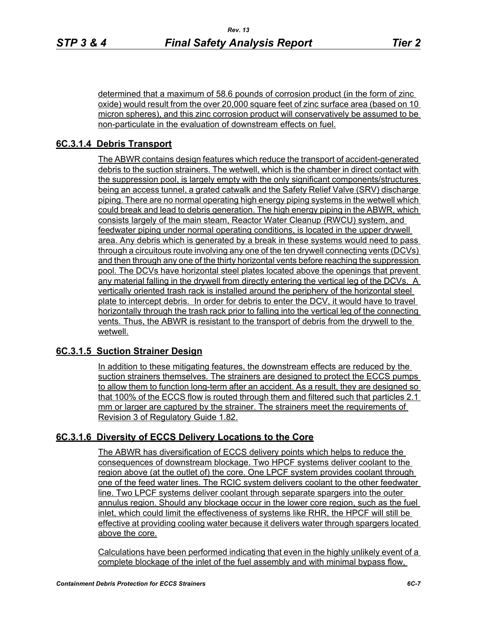determined that a maximum of 58.6 pounds of corrosion product (in the form of zinc oxide) would result from the over 20,000 square feet of zinc surface area (based on 10 micron spheres), and this zinc corrosion product will conservatively be assumed to be non-particulate in the evaluation of downstream effects on fuel.

## **6C.3.1.4 Debris Transport**

The ABWR contains design features which reduce the transport of accident-generated debris to the suction strainers. The wetwell, which is the chamber in direct contact with the suppression pool, is largely empty with the only significant components/structures being an access tunnel, a grated catwalk and the Safety Relief Valve (SRV) discharge piping. There are no normal operating high energy piping systems in the wetwell which could break and lead to debris generation. The high energy piping in the ABWR, which consists largely of the main steam, Reactor Water Cleanup (RWCU) system, and feedwater piping under normal operating conditions, is located in the upper drywell area. Any debris which is generated by a break in these systems would need to pass through a circuitous route involving any one of the ten drywell connecting vents (DCVs) and then through any one of the thirty horizontal vents before reaching the suppression pool. The DCVs have horizontal steel plates located above the openings that prevent any material falling in the drywell from directly entering the vertical leg of the DCVs. A vertically oriented trash rack is installed around the periphery of the horizontal steel plate to intercept debris. In order for debris to enter the DCV, it would have to travel horizontally through the trash rack prior to falling into the vertical leg of the connecting vents. Thus, the ABWR is resistant to the transport of debris from the drywell to the wetwell.

## **6C.3.1.5 Suction Strainer Design**

In addition to these mitigating features, the downstream effects are reduced by the suction strainers themselves. The strainers are designed to protect the ECCS pumps to allow them to function long-term after an accident. As a result, they are designed so that 100% of the ECCS flow is routed through them and filtered such that particles 2.1 mm or larger are captured by the strainer. The strainers meet the requirements of Revision 3 of Regulatory Guide 1.82.

## **6C.3.1.6 Diversity of ECCS Delivery Locations to the Core**

The ABWR has diversification of ECCS delivery points which helps to reduce the consequences of downstream blockage. Two HPCF systems deliver coolant to the region above (at the outlet of) the core. One LPCF system provides coolant through one of the feed water lines. The RCIC system delivers coolant to the other feedwater line. Two LPCF systems deliver coolant through separate spargers into the outer annulus region. Should any blockage occur in the lower core region, such as the fuel inlet, which could limit the effectiveness of systems like RHR, the HPCF will still be effective at providing cooling water because it delivers water through spargers located above the core.

Calculations have been performed indicating that even in the highly unlikely event of a complete blockage of the inlet of the fuel assembly and with minimal bypass flow,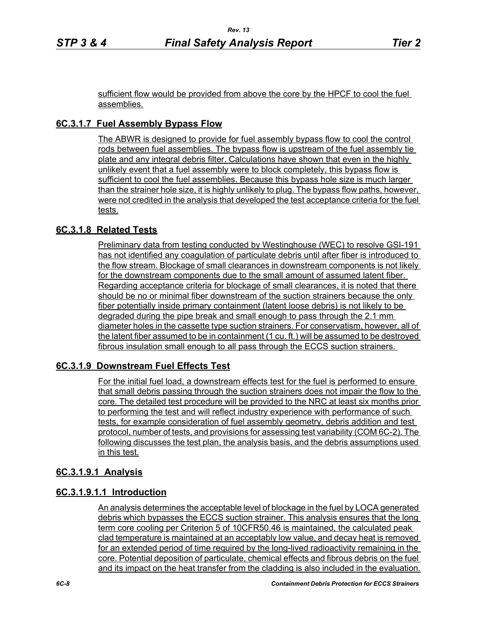sufficient flow would be provided from above the core by the HPCF to cool the fuel assemblies.

# **6C.3.1.7 Fuel Assembly Bypass Flow**

The ABWR is designed to provide for fuel assembly bypass flow to cool the control rods between fuel assemblies. The bypass flow is upstream of the fuel assembly tie plate and any integral debris filter. Calculations have shown that even in the highly unlikely event that a fuel assembly were to block completely, this bypass flow is sufficient to cool the fuel assemblies. Because this bypass hole size is much larger than the strainer hole size, it is highly unlikely to plug. The bypass flow paths, however, were not credited in the analysis that developed the test acceptance criteria for the fuel tests.

## **6C.3.1.8 Related Tests**

Preliminary data from testing conducted by Westinghouse (WEC) to resolve GSI-191 has not identified any coagulation of particulate debris until after fiber is introduced to the flow stream. Blockage of small clearances in downstream components is not likely for the downstream components due to the small amount of assumed latent fiber. Regarding acceptance criteria for blockage of small clearances, it is noted that there should be no or minimal fiber downstream of the suction strainers because the only fiber potentially inside primary containment (latent loose debris) is not likely to be degraded during the pipe break and small enough to pass through the 2.1 mm diameter holes in the cassette type suction strainers. For conservatism, however, all of the latent fiber assumed to be in containment (1 cu. ft.) will be assumed to be destroyed fibrous insulation small enough to all pass through the ECCS suction strainers.

# **6C.3.1.9 Downstream Fuel Effects Test**

For the initial fuel load, a downstream effects test for the fuel is performed to ensure that small debris passing through the suction strainers does not impair the flow to the core. The detailed test procedure will be provided to the NRC at least six months prior to performing the test and will reflect industry experience with performance of such tests, for example consideration of fuel assembly geometry, debris addition and test protocol, number of tests, and provisions for assessing test variability (COM 6C-2). The following discusses the test plan, the analysis basis, and the debris assumptions used in this test.

## **6C.3.1.9.1 Analysis**

## **6C.3.1.9.1.1 Introduction**

An analysis determines the acceptable level of blockage in the fuel by LOCA generated debris which bypasses the ECCS suction strainer. This analysis ensures that the long term core cooling per Criterion 5 of 10CFR50.46 is maintained, the calculated peak clad temperature is maintained at an acceptably low value, and decay heat is removed for an extended period of time required by the long-lived radioactivity remaining in the core. Potential deposition of particulate, chemical effects and fibrous debris on the fuel and its impact on the heat transfer from the cladding is also included in the evaluation.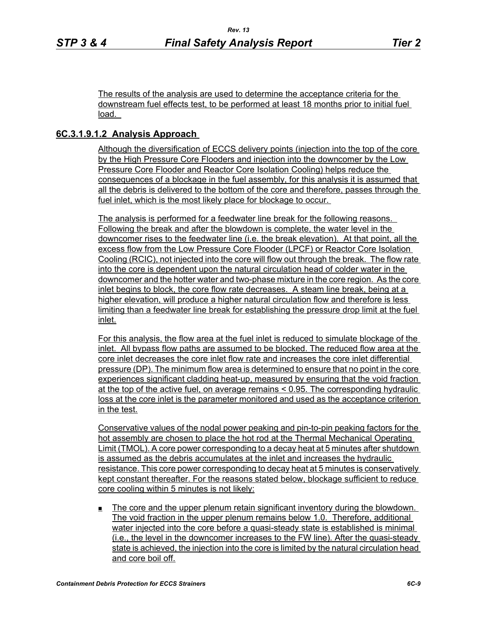The results of the analysis are used to determine the acceptance criteria for the downstream fuel effects test, to be performed at least 18 months prior to initial fuel load.

## **6C.3.1.9.1.2 Analysis Approach**

Although the diversification of ECCS delivery points (injection into the top of the core by the High Pressure Core Flooders and injection into the downcomer by the Low Pressure Core Flooder and Reactor Core Isolation Cooling) helps reduce the consequences of a blockage in the fuel assembly, for this analysis it is assumed that all the debris is delivered to the bottom of the core and therefore, passes through the fuel inlet, which is the most likely place for blockage to occur.

The analysis is performed for a feedwater line break for the following reasons. Following the break and after the blowdown is complete, the water level in the downcomer rises to the feedwater line (i.e. the break elevation). At that point, all the excess flow from the Low Pressure Core Flooder (LPCF) or Reactor Core Isolation Cooling (RCIC), not injected into the core will flow out through the break. The flow rate into the core is dependent upon the natural circulation head of colder water in the downcomer and the hotter water and two-phase mixture in the core region. As the core inlet begins to block, the core flow rate decreases. A steam line break, being at a higher elevation, will produce a higher natural circulation flow and therefore is less limiting than a feedwater line break for establishing the pressure drop limit at the fuel inlet.

For this analysis, the flow area at the fuel inlet is reduced to simulate blockage of the inlet. All bypass flow paths are assumed to be blocked. The reduced flow area at the core inlet decreases the core inlet flow rate and increases the core inlet differential pressure (DP). The minimum flow area is determined to ensure that no point in the core experiences significant cladding heat-up, measured by ensuring that the void fraction at the top of the active fuel, on average remains < 0.95. The corresponding hydraulic loss at the core inlet is the parameter monitored and used as the acceptance criterion in the test.

Conservative values of the nodal power peaking and pin-to-pin peaking factors for the hot assembly are chosen to place the hot rod at the Thermal Mechanical Operating Limit (TMOL). A core power corresponding to a decay heat at 5 minutes after shutdown is assumed as the debris accumulates at the inlet and increases the hydraulic resistance. This core power corresponding to decay heat at 5 minutes is conservatively kept constant thereafter. For the reasons stated below, blockage sufficient to reduce core cooling within 5 minutes is not likely:

 The core and the upper plenum retain significant inventory during the blowdown. The void fraction in the upper plenum remains below 1.0. Therefore, additional water injected into the core before a quasi-steady state is established is minimal (i.e., the level in the downcomer increases to the FW line). After the quasi-steady state is achieved, the injection into the core is limited by the natural circulation head and core boil off.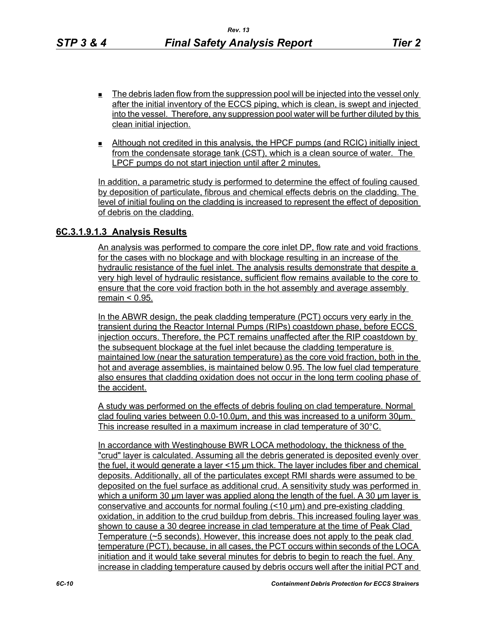- $\blacksquare$  The debris laden flow from the suppression pool will be injected into the vessel only after the initial inventory of the ECCS piping, which is clean, is swept and injected into the vessel. Therefore, any suppression pool water will be further diluted by this clean initial injection.
- Although not credited in this analysis, the HPCF pumps (and RCIC) initially inject from the condensate storage tank (CST), which is a clean source of water. The LPCF pumps do not start injection until after 2 minutes.

In addition, a parametric study is performed to determine the effect of fouling caused by deposition of particulate, fibrous and chemical effects debris on the cladding. The level of initial fouling on the cladding is increased to represent the effect of deposition of debris on the cladding.

#### **6C.3.1.9.1.3 Analysis Results**

An analysis was performed to compare the core inlet DP, flow rate and void fractions for the cases with no blockage and with blockage resulting in an increase of the hydraulic resistance of the fuel inlet. The analysis results demonstrate that despite a very high level of hydraulic resistance, sufficient flow remains available to the core to ensure that the core void fraction both in the hot assembly and average assembly remain < 0.95.

In the ABWR design, the peak cladding temperature (PCT) occurs very early in the transient during the Reactor Internal Pumps (RIPs) coastdown phase, before ECCS injection occurs. Therefore, the PCT remains unaffected after the RIP coastdown by the subsequent blockage at the fuel inlet because the cladding temperature is maintained low (near the saturation temperature) as the core void fraction, both in the hot and average assemblies, is maintained below 0.95. The low fuel clad temperature also ensures that cladding oxidation does not occur in the long term cooling phase of the accident.

A study was performed on the effects of debris fouling on clad temperature. Normal clad fouling varies between 0.0-10.0μm, and this was increased to a uniform 30μm. This increase resulted in a maximum increase in clad temperature of 30°C.

In accordance with Westinghouse BWR LOCA methodology, the thickness of the "crud" layer is calculated. Assuming all the debris generated is deposited evenly over the fuel, it would generate a layer <15 μm thick. The layer includes fiber and chemical deposits. Additionally, all of the particulates except RMI shards were assumed to be deposited on the fuel surface as additional crud. A sensitivity study was performed in which a uniform 30 μm layer was applied along the length of the fuel. A 30 μm layer is conservative and accounts for normal fouling (<10 μm) and pre-existing cladding oxidation, in addition to the crud buildup from debris. This increased fouling layer was shown to cause a 30 degree increase in clad temperature at the time of Peak Clad Temperature (~5 seconds). However, this increase does not apply to the peak clad temperature (PCT), because, in all cases, the PCT occurs within seconds of the LOCA initiation and it would take several minutes for debris to begin to reach the fuel. Any increase in cladding temperature caused by debris occurs well after the initial PCT and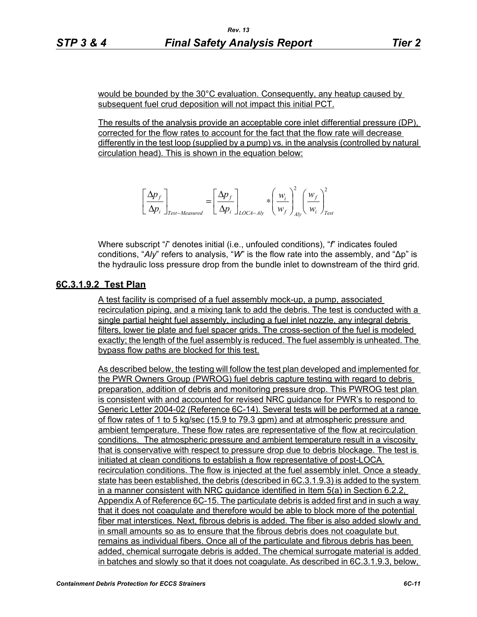would be bounded by the 30°C evaluation. Consequently, any heatup caused by subsequent fuel crud deposition will not impact this initial PCT.

The results of the analysis provide an acceptable core inlet differential pressure (DP), corrected for the flow rates to account for the fact that the flow rate will decrease differently in the test loop (supplied by a pump) vs. in the analysis (controlled by natural circulation head). This is shown in the equation below:

$$
\left[\frac{\Delta p_f}{\Delta p_i}\right]_{Test-Measured} = \left[\frac{\Delta p_f}{\Delta p_i}\right]_{LOCA-Aly} * \left(\frac{w_i}{w_f}\right)_{Ab}^2 \left(\frac{w_f}{w_i}\right)_{Test}^2
$$

Where subscript "*i*" denotes initial (i.e., unfouled conditions), "*f*" indicates fouled conditions, "*Aly*" refers to analysis, "*W*" is the flow rate into the assembly, and "∆p" is the hydraulic loss pressure drop from the bundle inlet to downstream of the third grid.

#### **6C.3.1.9.2 Test Plan**

A test facility is comprised of a fuel assembly mock-up, a pump, associated recirculation piping, and a mixing tank to add the debris. The test is conducted with a single partial height fuel assembly, including a fuel inlet nozzle, any integral debris filters, lower tie plate and fuel spacer grids. The cross-section of the fuel is modeled exactly; the length of the fuel assembly is reduced. The fuel assembly is unheated. The bypass flow paths are blocked for this test.

As described below, the testing will follow the test plan developed and implemented for the PWR Owners Group (PWROG) fuel debris capture testing with regard to debris preparation, addition of debris and monitoring pressure drop. This PWROG test plan is consistent with and accounted for revised NRC guidance for PWR's to respond to Generic Letter 2004-02 (Reference 6C-14). Several tests will be performed at a range of flow rates of 1 to 5 kg/sec (15.9 to 79.3 gpm) and at atmospheric pressure and ambient temperature. These flow rates are representative of the flow at recirculation conditions. The atmospheric pressure and ambient temperature result in a viscosity that is conservative with respect to pressure drop due to debris blockage. The test is initiated at clean conditions to establish a flow representative of post-LOCA recirculation conditions. The flow is injected at the fuel assembly inlet. Once a steady state has been established, the debris (described in 6C.3.1.9.3) is added to the system in a manner consistent with NRC guidance identified in Item 5(a) in Section 6.2.2, Appendix A of Reference 6C-15. The particulate debris is added first and in such a way that it does not coagulate and therefore would be able to block more of the potential fiber mat interstices. Next, fibrous debris is added. The fiber is also added slowly and in small amounts so as to ensure that the fibrous debris does not coagulate but remains as individual fibers. Once all of the particulate and fibrous debris has been added, chemical surrogate debris is added. The chemical surrogate material is added in batches and slowly so that it does not coagulate. As described in 6C.3.1.9.3, below,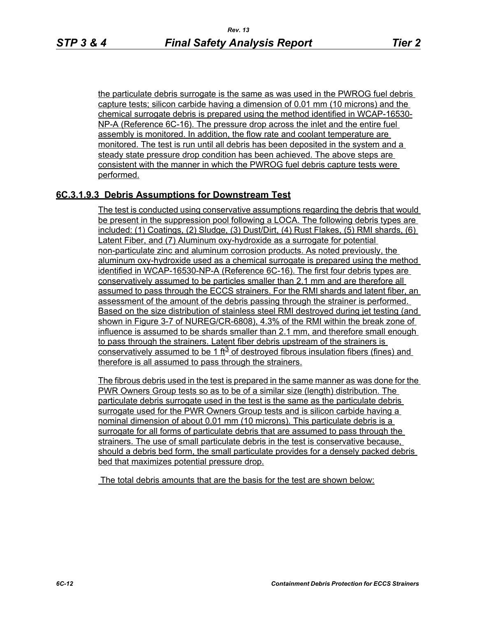the particulate debris surrogate is the same as was used in the PWROG fuel debris capture tests; silicon carbide having a dimension of 0.01 mm (10 microns) and the chemical surrogate debris is prepared using the method identified in WCAP-16530- NP-A (Reference 6C-16). The pressure drop across the inlet and the entire fuel assembly is monitored. In addition, the flow rate and coolant temperature are monitored. The test is run until all debris has been deposited in the system and a steady state pressure drop condition has been achieved. The above steps are consistent with the manner in which the PWROG fuel debris capture tests were performed.

## **6C.3.1.9.3 Debris Assumptions for Downstream Test**

The test is conducted using conservative assumptions regarding the debris that would be present in the suppression pool following a LOCA. The following debris types are included: (1) Coatings, (2) Sludge, (3) Dust/Dirt, (4) Rust Flakes, (5) RMI shards, (6) Latent Fiber, and (7) Aluminum oxy-hydroxide as a surrogate for potential non-particulate zinc and aluminum corrosion products. As noted previously, the aluminum oxy-hydroxide used as a chemical surrogate is prepared using the method identified in WCAP-16530-NP-A (Reference 6C-16). The first four debris types are conservatively assumed to be particles smaller than 2.1 mm and are therefore all assumed to pass through the ECCS strainers. For the RMI shards and latent fiber, an assessment of the amount of the debris passing through the strainer is performed. Based on the size distribution of stainless steel RMI destroyed during jet testing (and shown in Figure 3-7 of NUREG/CR-6808), 4.3% of the RMI within the break zone of influence is assumed to be shards smaller than 2.1 mm, and therefore small enough to pass through the strainers. Latent fiber debris upstream of the strainers is conservatively assumed to be 1 ft<sup>3</sup> of destroyed fibrous insulation fibers (fines) and therefore is all assumed to pass through the strainers.

The fibrous debris used in the test is prepared in the same manner as was done for the PWR Owners Group tests so as to be of a similar size (length) distribution. The particulate debris surrogate used in the test is the same as the particulate debris surrogate used for the PWR Owners Group tests and is silicon carbide having a nominal dimension of about 0.01 mm (10 microns). This particulate debris is a surrogate for all forms of particulate debris that are assumed to pass through the strainers. The use of small particulate debris in the test is conservative because, should a debris bed form, the small particulate provides for a densely packed debris bed that maximizes potential pressure drop.

The total debris amounts that are the basis for the test are shown below: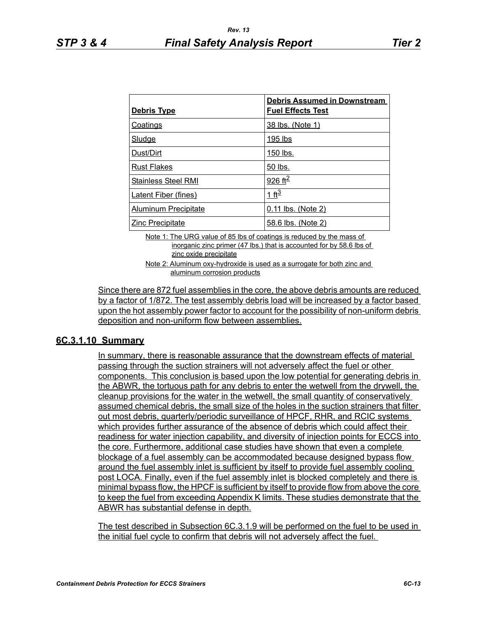| <b>Debris Type</b>          | <b>Debris Assumed in Downstream</b><br><b>Fuel Effects Test</b> |
|-----------------------------|-----------------------------------------------------------------|
| <b>Coatings</b>             | 38 lbs. (Note 1)                                                |
| <b>Sludge</b>               | 195 lbs                                                         |
| Dust/Dirt                   | 150 lbs.                                                        |
| <b>Rust Flakes</b>          | 50 lbs.                                                         |
| <b>Stainless Steel RMI</b>  | 926 ft <sup>2</sup>                                             |
| <b>Latent Fiber (fines)</b> | 1 ft <sup>3</sup>                                               |
| <b>Aluminum Precipitate</b> | 0.11 lbs. (Note 2)                                              |
| <b>Zinc Precipitate</b>     | 58.6 lbs. (Note 2)                                              |

Note 1: The URG value of 85 lbs of coatings is reduced by the mass of inorganic zinc primer (47 lbs.) that is accounted for by 58.6 lbs of zinc oxide precipitate

Note 2: Aluminum oxy-hydroxide is used as a surrogate for both zinc and aluminum corrosion products

Since there are 872 fuel assemblies in the core, the above debris amounts are reduced by a factor of 1/872. The test assembly debris load will be increased by a factor based upon the hot assembly power factor to account for the possibility of non-uniform debris deposition and non-uniform flow between assemblies.

#### **6C.3.1.10 Summary**

In summary, there is reasonable assurance that the downstream effects of material passing through the suction strainers will not adversely affect the fuel or other components. This conclusion is based upon the low potential for generating debris in the ABWR, the tortuous path for any debris to enter the wetwell from the drywell, the cleanup provisions for the water in the wetwell, the small quantity of conservatively assumed chemical debris, the small size of the holes in the suction strainers that filter out most debris, quarterly/periodic surveillance of HPCF, RHR, and RCIC systems which provides further assurance of the absence of debris which could affect their readiness for water injection capability, and diversity of injection points for ECCS into the core. Furthermore, additional case studies have shown that even a complete blockage of a fuel assembly can be accommodated because designed bypass flow around the fuel assembly inlet is sufficient by itself to provide fuel assembly cooling post LOCA. Finally, even if the fuel assembly inlet is blocked completely and there is minimal bypass flow, the HPCF is sufficient by itself to provide flow from above the core to keep the fuel from exceeding Appendix K limits. These studies demonstrate that the ABWR has substantial defense in depth.

The test described in Subsection 6C.3.1.9 will be performed on the fuel to be used in the initial fuel cycle to confirm that debris will not adversely affect the fuel.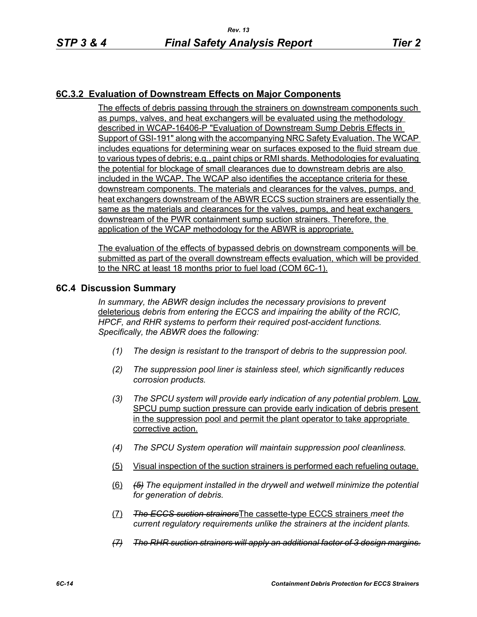## **6C.3.2 Evaluation of Downstream Effects on Major Components**

The effects of debris passing through the strainers on downstream components such as pumps, valves, and heat exchangers will be evaluated using the methodology described in WCAP-16406-P "Evaluation of Downstream Sump Debris Effects in Support of GSI-191" along with the accompanying NRC Safety Evaluation. The WCAP includes equations for determining wear on surfaces exposed to the fluid stream due to various types of debris; e.g., paint chips or RMI shards. Methodologies for evaluating the potential for blockage of small clearances due to downstream debris are also included in the WCAP. The WCAP also identifies the acceptance criteria for these downstream components. The materials and clearances for the valves, pumps, and heat exchangers downstream of the ABWR ECCS suction strainers are essentially the same as the materials and clearances for the valves, pumps, and heat exchangers downstream of the PWR containment sump suction strainers. Therefore, the application of the WCAP methodology for the ABWR is appropriate.

The evaluation of the effects of bypassed debris on downstream components will be submitted as part of the overall downstream effects evaluation, which will be provided to the NRC at least 18 months prior to fuel load (COM 6C-1).

#### **6C.4 Discussion Summary**

*In summary, the ABWR design includes the necessary provisions to prevent*  deleterious *debris from entering the ECCS and impairing the ability of the RCIC, HPCF, and RHR systems to perform their required post-accident functions. Specifically, the ABWR does the following:*

- *(1) The design is resistant to the transport of debris to the suppression pool.*
- *(2) The suppression pool liner is stainless steel, which significantly reduces corrosion products.*
- *(3) The SPCU system will provide early indication of any potential problem.* Low SPCU pump suction pressure can provide early indication of debris present in the suppression pool and permit the plant operator to take appropriate corrective action.
- *(4) The SPCU System operation will maintain suppression pool cleanliness.*
- (5) Visual inspection of the suction strainers is performed each refueling outage.
- (6) *(5) The equipment installed in the drywell and wetwell minimize the potential for generation of debris.*
- (7) *The ECCS suction strainers*The cassette-type ECCS strainers *meet the current regulatory requirements unlike the strainers at the incident plants.*
- *(7) The RHR suction strainers will apply an additional factor of 3 design margins.*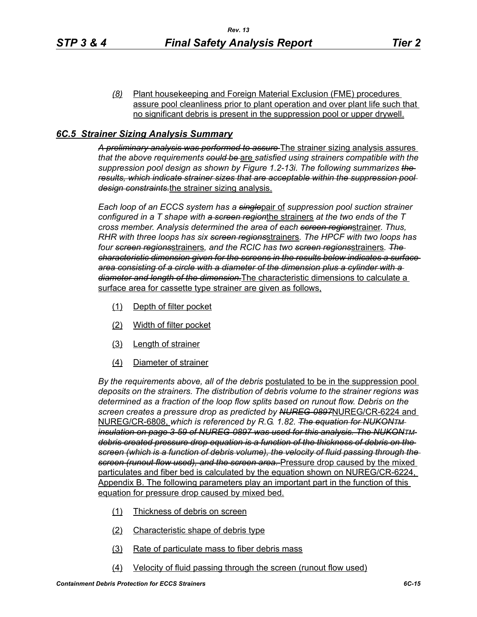*(8)* Plant housekeeping and Foreign Material Exclusion (FME) procedures assure pool cleanliness prior to plant operation and over plant life such that no significant debris is present in the suppression pool or upper drywell.

#### *6C.5 Strainer Sizing Analysis Summary*

*A preliminary analysis was performed to assure* The strainer sizing analysis assures *that the above requirements could be* are *satisfied using strainers compatible with the suppression pool design as shown by Figure 1.2-13i. The following summarizes the results, which indicate strainer sizes that are acceptable within the suppression pool design constraints.*the strainer sizing analysis.

*Each loop of an ECCS system has a single*pair of *suppression pool suction strainer configured in a T shape with a screen region*the strainers *at the two ends of the T cross member. Analysis determined the area of each screen region*strainer. *Thus, RHR with three loops has six screen regions*strainers*. The HPCF with two loops has four screen regions*strainers*, and the RCIC has two screen regions*strainers*. The characteristic dimension given for the screens in the results below indicates a surface area consisting of a circle with a diameter of the dimension plus a cylinder with a diameter and length of the dimension.*The characteristic dimensions to calculate a surface area for cassette type strainer are given as follows,

- (1) Depth of filter pocket
- (2) Width of filter pocket
- (3) Length of strainer
- (4) Diameter of strainer

*By the requirements above, all of the debris* postulated to be in the suppression pool *deposits on the strainers. The distribution of debris volume to the strainer regions was determined as a fraction of the loop flow splits based on runout flow. Debris on the screen creates a pressure drop as predicted by NUREG-0897*NUREG/CR-6224 and NUREG/CR-6808, *which is referenced by R.G. 1.82. The equation for NUKONTM insulation on page 3-59 of NUREG-0897 was used for this analysis. The NUKONTM debris created pressure drop equation is a function of the thickness of debris on the screen (which is a function of debris volume), the velocity of fluid passing through the screen (runout flow used), and the screen area.* Pressure drop caused by the mixed particulates and fiber bed is calculated by the equation shown on NUREG/CR-6224, Appendix B. The following parameters play an important part in the function of this equation for pressure drop caused by mixed bed.

- (1) Thickness of debris on screen
- (2) Characteristic shape of debris type
- (3) Rate of particulate mass to fiber debris mass
- (4) Velocity of fluid passing through the screen (runout flow used)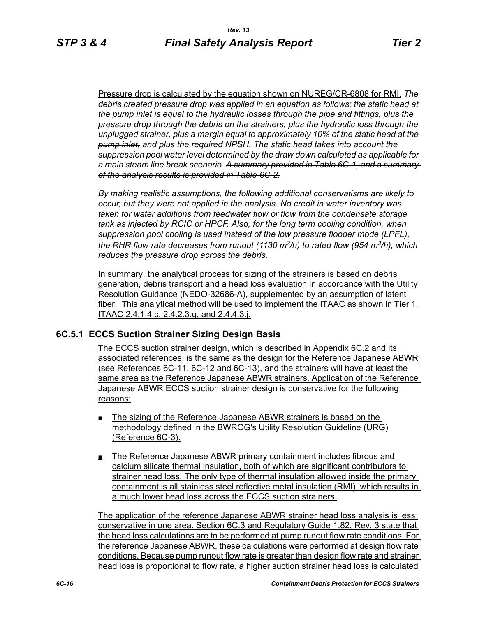Pressure drop is calculated by the equation shown on NUREG/CR-6808 for RMI. *The debris created pressure drop was applied in an equation as follows; the static head at the pump inlet is equal to the hydraulic losses through the pipe and fittings, plus the pressure drop through the debris on the strainers, plus the hydraulic loss through the unplugged strainer, plus a margin equal to approximately 10% of the static head at the pump inlet, and plus the required NPSH. The static head takes into account the suppression pool water level determined by the draw down calculated as applicable for a main steam line break scenario. A summary provided in Table 6C-1, and a summary of the analysis results is provided in Table 6C-2.*

*By making realistic assumptions, the following additional conservatisms are likely to occur, but they were not applied in the analysis. No credit in water inventory was taken for water additions from feedwater flow or flow from the condensate storage tank as injected by RCIC or HPCF. Also, for the long term cooling condition, when suppression pool cooling is used instead of the low pressure flooder mode (LPFL), the RHR flow rate decreases from runout (1130 m3/h) to rated flow (954 m3/h), which reduces the pressure drop across the debris.*

In summary, the analytical process for sizing of the strainers is based on debris generation, debris transport and a head loss evaluation in accordance with the Utility Resolution Guidance (NEDO-32686-A), supplemented by an assumption of latent fiber. This analytical method will be used to implement the ITAAC as shown in Tier 1. ITAAC 2.4.1.4.c, 2.4.2.3.g, and 2.4.4.3.j.

## **6C.5.1 ECCS Suction Strainer Sizing Design Basis**

The ECCS suction strainer design, which is described in Appendix 6C.2 and its associated references, is the same as the design for the Reference Japanese ABWR (see References 6C-11, 6C-12 and 6C-13), and the strainers will have at least the same area as the Reference Japanese ABWR strainers. Application of the Reference Japanese ABWR ECCS suction strainer design is conservative for the following reasons:

- The sizing of the Reference Japanese ABWR strainers is based on the methodology defined in the BWROG's Utility Resolution Guideline (URG) (Reference 6C-3).
- The Reference Japanese ABWR primary containment includes fibrous and calcium silicate thermal insulation, both of which are significant contributors to strainer head loss. The only type of thermal insulation allowed inside the primary containment is all stainless steel reflective metal insulation (RMI), which results in a much lower head loss across the ECCS suction strainers.

The application of the reference Japanese ABWR strainer head loss analysis is less conservative in one area. Section 6C.3 and Regulatory Guide 1.82, Rev. 3 state that the head loss calculations are to be performed at pump runout flow rate conditions. For the reference Japanese ABWR, these calculations were performed at design flow rate conditions. Because pump runout flow rate is greater than design flow rate and strainer head loss is proportional to flow rate, a higher suction strainer head loss is calculated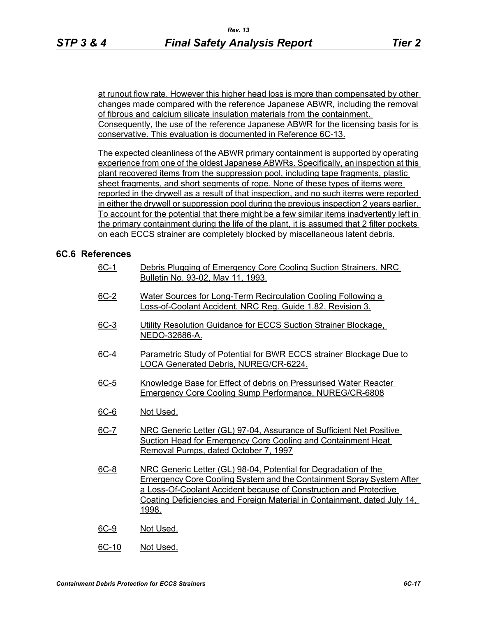at runout flow rate. However this higher head loss is more than compensated by other changes made compared with the reference Japanese ABWR, including the removal of fibrous and calcium silicate insulation materials from the containment. Consequently, the use of the reference Japanese ABWR for the licensing basis for is conservative. This evaluation is documented in Reference 6C-13.

The expected cleanliness of the ABWR primary containment is supported by operating experience from one of the oldest Japanese ABWRs. Specifically, an inspection at this plant recovered items from the suppression pool, including tape fragments, plastic sheet fragments, and short segments of rope. None of these types of items were reported in the drywell as a result of that inspection, and no such items were reported in either the drywell or suppression pool during the previous inspection 2 years earlier. To account for the potential that there might be a few similar items inadvertently left in the primary containment during the life of the plant, it is assumed that 2 filter pockets on each ECCS strainer are completely blocked by miscellaneous latent debris.

#### **6C.6 References**

- 6C-1 Debris Plugging of Emergency Core Cooling Suction Strainers, NRC Bulletin No. 93-02, May 11, 1993.
- 6C-2 Water Sources for Long-Term Recirculation Cooling Following a Loss-of-Coolant Accident, NRC Reg. Guide 1.82, Revision 3.
- 6C-3 Utility Resolution Guidance for ECCS Suction Strainer Blockage. NEDO-32686-A.
- 6C-4 Parametric Study of Potential for BWR ECCS strainer Blockage Due to LOCA Generated Debris, NUREG/CR-6224.
- 6C-5 Knowledge Base for Effect of debris on Pressurised Water Reacter Emergency Core Cooling Sump Performance, NUREG/CR-6808
- 6C-6 Not Used.
- 6C-7 NRC Generic Letter (GL) 97-04, Assurance of Sufficient Net Positive Suction Head for Emergency Core Cooling and Containment Heat Removal Pumps, dated October 7, 1997
- 6C-8 NRC Generic Letter (GL) 98-04, Potential for Degradation of the Emergency Core Cooling System and the Containment Spray System After a Loss-Of-Coolant Accident because of Construction and Protective Coating Deficiencies and Foreign Material in Containment, dated July 14, 1998.
- 6C-9 Not Used.
- 6C-10 Not Used.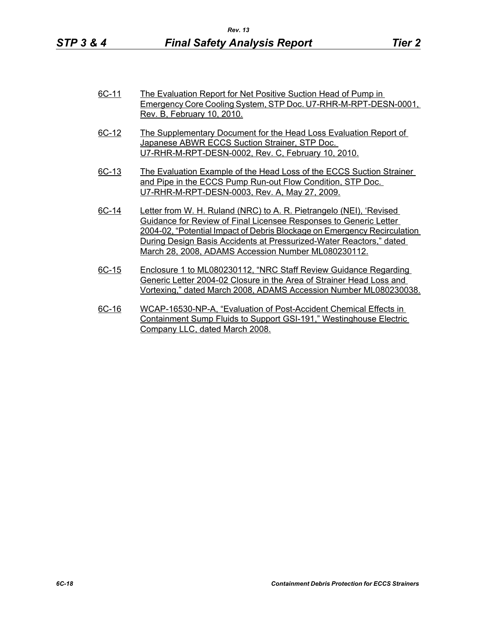- 6C-11 The Evaluation Report for Net Positive Suction Head of Pump in Emergency Core Cooling System, STP Doc. U7-RHR-M-RPT-DESN-0001, Rev. B, February 10, 2010.
- 6C-12 The Supplementary Document for the Head Loss Evaluation Report of Japanese ABWR ECCS Suction Strainer, STP Doc. U7-RHR-M-RPT-DESN-0002, Rev. C, February 10, 2010.
- 6C-13 The Evaluation Example of the Head Loss of the ECCS Suction Strainer and Pipe in the ECCS Pump Run-out Flow Condition, STP Doc. U7-RHR-M-RPT-DESN-0003, Rev. A, May 27, 2009.
- 6C-14 Letter from W. H. Ruland (NRC) to A. R. Pietrangelo (NEI), 'Revised Guidance for Review of Final Licensee Responses to Generic Letter 2004-02, "Potential Impact of Debris Blockage on Emergency Recirculation During Design Basis Accidents at Pressurized-Water Reactors," dated March 28, 2008, ADAMS Accession Number ML080230112.
- 6C-15 Enclosure 1 to ML080230112, "NRC Staff Review Guidance Regarding Generic Letter 2004-02 Closure in the Area of Strainer Head Loss and Vortexing," dated March 2008, ADAMS Accession Number ML080230038.
- 6C-16 WCAP-16530-NP-A, "Evaluation of Post-Accident Chemical Effects in Containment Sump Fluids to Support GSI-191," Westinghouse Electric Company LLC, dated March 2008.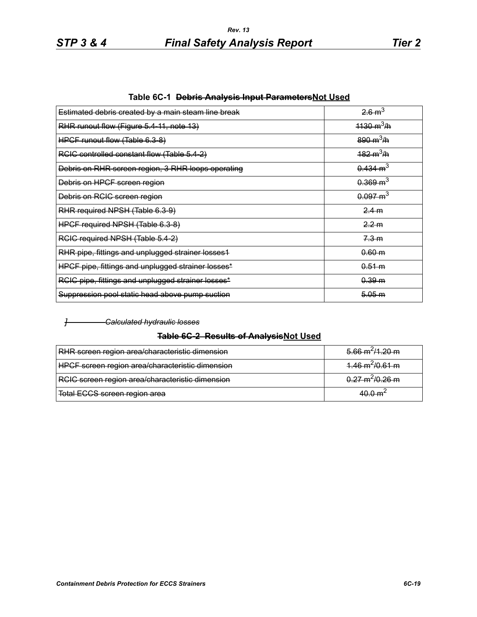| Estimated debris created by a main steam line break | 26m <sup>3</sup>            |
|-----------------------------------------------------|-----------------------------|
| RHR runout flow (Figure 5.4-11, note 13)            | $1130 \text{ m}^3/\text{h}$ |
| HPCF runout flow (Table 6.3-8)                      | $890 \text{ m}^3/\text{h}$  |
| RCIC controlled constant flow (Table 5.4-2)         | $182 \text{ m}^3/\text{h}$  |
| Debris on RHR screen region, 3 RHR loops operating  | $0.434 \text{ m}^3$         |
| Debris on HPCF screen region                        | $0.369 \text{ m}^3$         |
| Debris on RCIC screen region                        | $0.097 \text{ m}^3$         |
| RHR required NPSH (Table 6.3-9)                     | 2.4 m                       |
| HPCF required NPSH (Table 6.3-8)                    | 2.2 m                       |
| RCIC required NPSH (Table 5.4-2)                    | <del>7.3 m</del>            |
| RHR pipe, fittings and unplugged strainer losses1   | 0.60 m                      |
| HPCF pipe, fittings and unplugged strainer losses*  | 0.51 m                      |
| RCIC pipe, fittings and unplugged strainer losses*  | 0.39 m                      |
| Suppression pool static head above pump suction     | 5.05 m                      |

**Table 6C-1 Debris Analysis Input ParametersNot Used**

#### *] Calculated hydraulic losses*

#### **Table 6C-2 Results of AnalysisNot Used**

| RHR screen region area/characteristic dimension  | $5.66 \text{ m}^2/1.20 \text{ m}$ |
|--------------------------------------------------|-----------------------------------|
| HPCF screen region area/characteristic dimension | $1.46 \text{ m}^2/0.61 \text{ m}$ |
| RCIC screen region area/characteristic dimension | $0.27 \text{ m}^2/0.26 \text{ m}$ |
| Total ECCS screen region area                    | $40.0 \text{ m}^2$                |